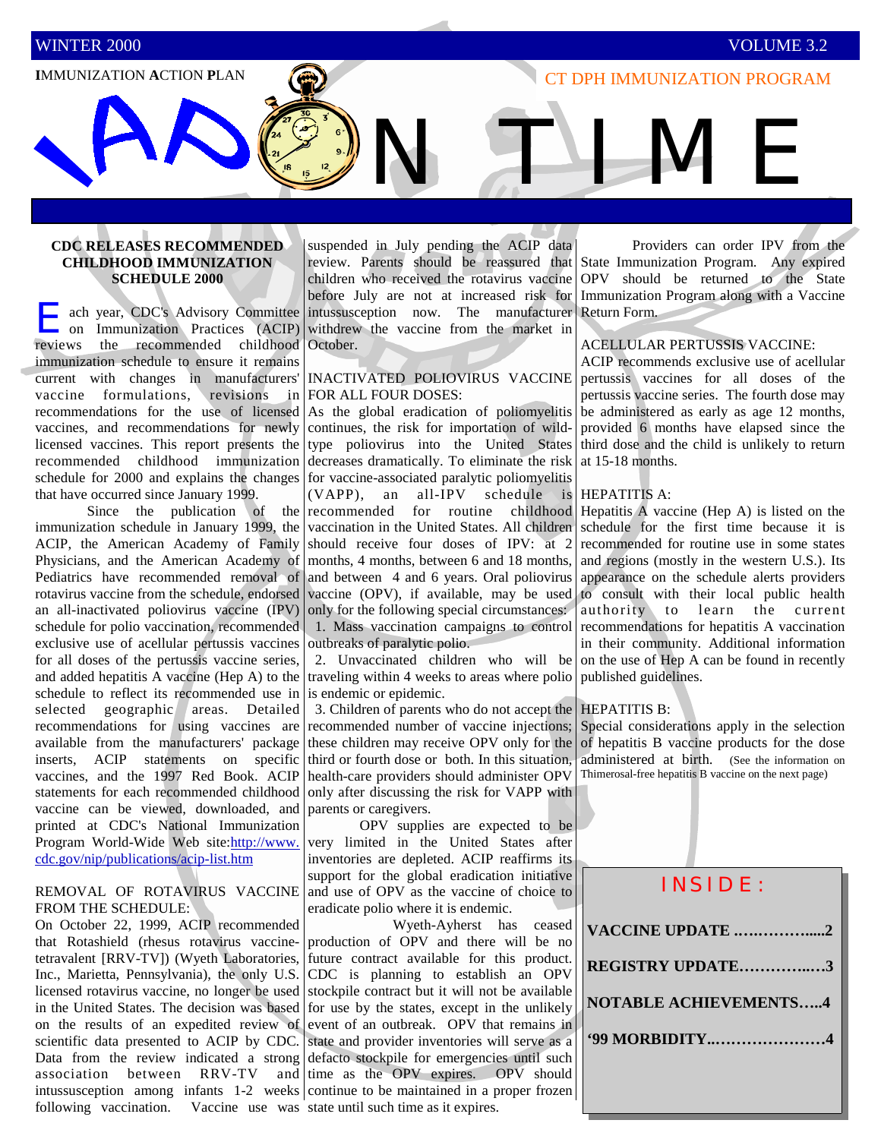# **IMMUNIZATION ACTION PLAN IMMUNIZATION PROGRAM**

# **CDC RELEASES RECOMMENDED CHILDHOOD IMMUNIZATION SCHEDULE 2000**

ach year, CDC's Advisory Committee on Immunization Practices (ACIP) reviews the recommended childhood immunization schedule to ensure it remains current with changes in manufacturers' vaccine formulations, revisions in recommendations for the use of licensed vaccines, and recommendations for newly licensed vaccines. This report presents the recommended childhood immunization schedule for 2000 and explains the changes that have occurred since January 1999.

 Since the publication of the immunization schedule in January 1999, the ACIP, the American Academy of Family Physicians, and the American Academy of Pediatrics have recommended removal of rotavirus vaccine from the schedule, endorsed an all-inactivated poliovirus vaccine (IPV) schedule for polio vaccination, recommended exclusive use of acellular pertussis vaccines for all doses of the pertussis vaccine series, and added hepatitis A vaccine (Hep A) to the schedule to reflect its recommended use in selected geographic areas. Detailed recommendations for using vaccines are available from the manufacturers' package inserts, ACIP statements on specific vaccines, and the 1997 Red Book. ACIP statements for each recommended childhood vaccine can be viewed, downloaded, and printed at CDC's National Immunization Program World-Wide Web site:http://www. cdc.gov/nip/publications/acip-list.htm

## REMOVAL OF ROTAVIRUS VACCINE FROM THE SCHEDULE:

On October 22, 1999, ACIP recommended that Rotashield (rhesus rotavirus vaccinetetravalent [RRV-TV]) (Wyeth Laboratories, Inc., Marietta, Pennsylvania), the only U.S. licensed rotavirus vaccine, no longer be used in the United States. The decision was based on the results of an expedited review of scientific data presented to ACIP by CDC. Data from the review indicated a strong association between RRV-TV and intussusception among infants 1-2 weeks continue to be maintained in a proper frozen following vaccination. Vaccine use was state until such time as it expires.

suspended in July pending the ACIP data children who received the rotavirus vaccine before July are not at increased risk for intussusception now. The manufacturer withdrew the vaccine from the market in October.

### INACTIVATED POLIOVIRUS VACCINE FOR ALL FOUR DOSES:

As the global eradication of poliomyelitis continues, the risk for importation of wildtype poliovirus into the United States decreases dramatically. To eliminate the risk for vaccine-associated paralytic poliomyelitis

(VAPP), an all-IPV schedule is recommended for routine childhood vaccination in the United States. All children should receive four doses of IPV: at 2 months, 4 months, between 6 and 18 months, and between 4 and 6 years. Oral poliovirus vaccine (OPV), if available, may be used only for the following special circumstances: 1. Mass vaccination campaigns to control outbreaks of paralytic polio.

 2. Unvaccinated children who will be traveling within 4 weeks to areas where polio is endemic or epidemic.

 3. Children of parents who do not accept the recommended number of vaccine injections; these children may receive OPV only for the third or fourth dose or both. In this situation, health-care providers should administer OPV only after discussing the risk for VAPP with parents or caregivers.

 OPV supplies are expected to be very limited in the United States after inventories are depleted. ACIP reaffirms its support for the global eradication initiative and use of OPV as the vaccine of choice to eradicate polio where it is endemic.

 Wyeth-Ayherst has ceased production of OPV and there will be no future contract available for this product. CDC is planning to establish an OPV stockpile contract but it will not be available for use by the states, except in the unlikely event of an outbreak. OPV that remains in state and provider inventories will serve as a defacto stockpile for emergencies until such time as the OPV expires. OPV should

review. Parents should be reassured that State Immunization Program. Any expired Providers can order IPV from the OPV should be returned to the State Immunization Program along with a Vaccine Return Form.

#### ACELLULAR PERTUSSIS VACCINE:

ACIP recommends exclusive use of acellular pertussis vaccines for all doses of the pertussis vaccine series. The fourth dose may be administered as early as age 12 months, provided 6 months have elapsed since the third dose and the child is unlikely to return at 15-18 months.

#### HEPATITIS A:

N TIME

Hepatitis A vaccine (Hep A) is listed on the schedule for the first time because it is recommended for routine use in some states and regions (mostly in the western U.S.). Its appearance on the schedule alerts providers to consult with their local public health authority to learn the current recommendations for hepatitis A vaccination in their community. Additional information on the use of Hep A can be found in recently published guidelines.

#### HEPATITIS B:

Special considerations apply in the selection of hepatitis B vaccine products for the dose administered at birth. (See the information on Thimerosal-free hepatitis B vaccine on the next page)

|  | INSIDE:                      |  |  |  |
|--|------------------------------|--|--|--|
|  | <b>VACCINE UPDATE 2</b>      |  |  |  |
|  | REGISTRY UPDATE3             |  |  |  |
|  | <b>NOTABLE ACHIEVEMENTS4</b> |  |  |  |
|  | '99 MORBIDITY4               |  |  |  |
|  |                              |  |  |  |
|  |                              |  |  |  |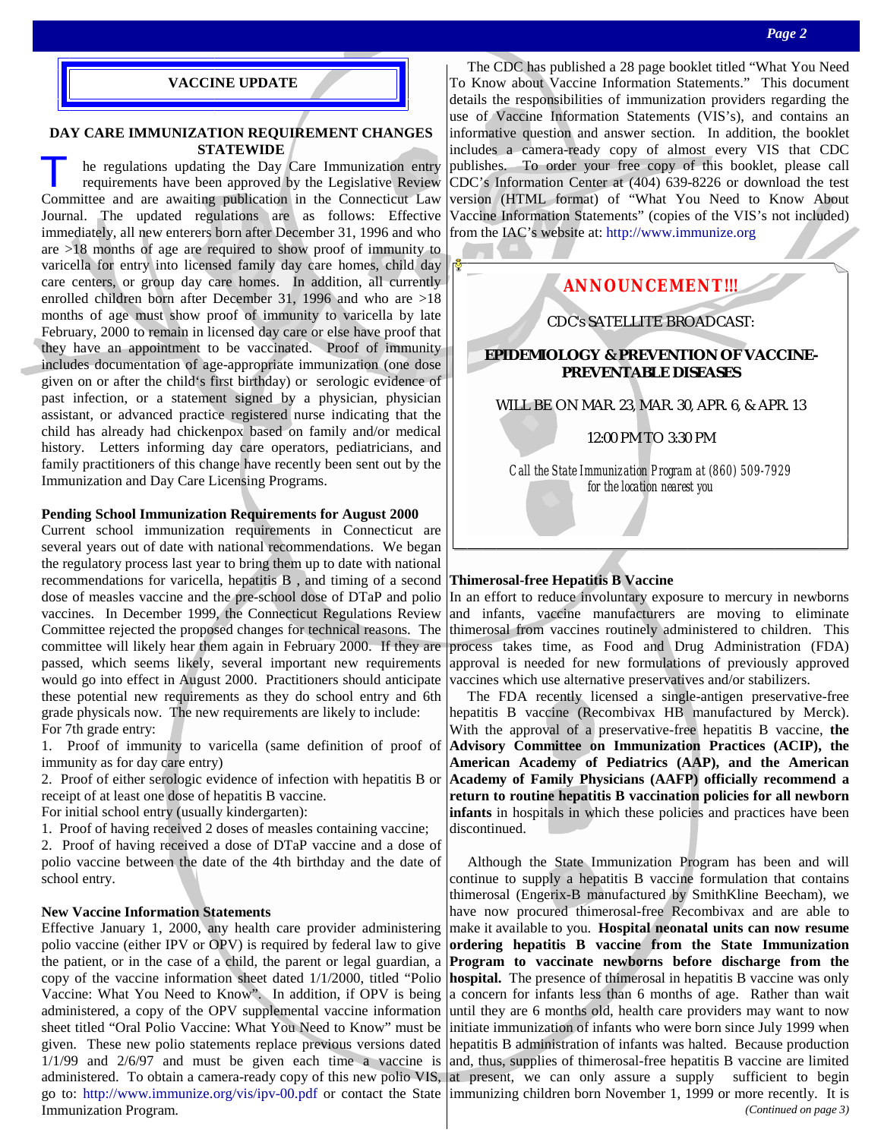#### **VACCINE UPDATE**

### **DAY CARE IMMUNIZATION REQUIREMENT CHANGES STATEWIDE**

he regulations updating the Day Care Immunization entry requirements have been approved by the Legislative Review Committee and are awaiting publication in the Connecticut Law Journal. The updated regulations are as follows: Effective immediately, all new enterers born after December 31, 1996 and who are >18 months of age are required to show proof of immunity to varicella for entry into licensed family day care homes, child day care centers, or group day care homes. In addition, all currently enrolled children born after December 31, 1996 and who are >18 months of age must show proof of immunity to varicella by late February, 2000 to remain in licensed day care or else have proof that they have an appointment to be vaccinated. Proof of immunity includes documentation of age-appropriate immunization (one dose given on or after the child's first birthday) or serologic evidence of past infection, or a statement signed by a physician, physician assistant, or advanced practice registered nurse indicating that the child has already had chickenpox based on family and/or medical history. Letters informing day care operators, pediatricians, and family practitioners of this change have recently been sent out by the Immunization and Day Care Licensing Programs.

## **Pending School Immunization Requirements for August 2000**

Current school immunization requirements in Connecticut are several years out of date with national recommendations. We began the regulatory process last year to bring them up to date with national recommendations for varicella, hepatitis B , and timing of a second dose of measles vaccine and the pre-school dose of DTaP and polio vaccines. In December 1999, the Connecticut Regulations Review Committee rejected the proposed changes for technical reasons. The committee will likely hear them again in February 2000. If they are passed, which seems likely, several important new requirements would go into effect in August 2000. Practitioners should anticipate these potential new requirements as they do school entry and 6th grade physicals now. The new requirements are likely to include: For 7th grade entry:

1. Proof of immunity to varicella (same definition of proof of immunity as for day care entry)

2. Proof of either serologic evidence of infection with hepatitis B or receipt of at least one dose of hepatitis B vaccine.

For initial school entry (usually kindergarten):

1. Proof of having received 2 doses of measles containing vaccine;

2. Proof of having received a dose of DTaP vaccine and a dose of polio vaccine between the date of the 4th birthday and the date of school entry.

## **New Vaccine Information Statements**

Effective January 1, 2000, any health care provider administering polio vaccine (either IPV or OPV) is required by federal law to give the patient, or in the case of a child, the parent or legal guardian, a copy of the vaccine information sheet dated 1/1/2000, titled "Polio Vaccine: What You Need to Know". In addition, if OPV is being administered, a copy of the OPV supplemental vaccine information sheet titled "Oral Polio Vaccine: What You Need to Know" must be given. These new polio statements replace previous versions dated 1/1/99 and 2/6/97 and must be given each time a vaccine is administered. To obtain a camera-ready copy of this new polio VIS, at present, we can only assure a supply sufficient to begin go to: http://www.immunize.org/vis/ipv-00.pdf or contact the State immunizing children born November 1, 1999 or more recently. It is Immunization Program.

 The CDC has published a 28 page booklet titled "What You Need To Know about Vaccine Information Statements." This document details the responsibilities of immunization providers regarding the use of Vaccine Information Statements (VIS's), and contains an informative question and answer section. In addition, the booklet includes a camera-ready copy of almost every VIS that CDC publishes. To order your free copy of this booklet, please call CDC's Information Center at (404) 639-8226 or download the test version (HTML format) of "What You Need to Know About Vaccine Information Statements" (copies of the VIS's not included) from the IAC's website at: http://www.immunize.org

# **ANNOUNCEMENT!!!**

# CDC's SATELLITE BROADCAST:

# *EPIDEMIOLOGY & PREVENTION OF VACCINE-PREVENTABLE DISEASES*

WILL BE ON MAR. 23, MAR. 30, APR. 6, & APR. 13

12:00 PM TO 3:30 PM

*Call the State Immunization Program at (860) 509-7929 for the location nearest you* 

## **Thimerosal-free Hepatitis B Vaccine**

In an effort to reduce involuntary exposure to mercury in newborns and infants, vaccine manufacturers are moving to eliminate thimerosal from vaccines routinely administered to children. This process takes time, as Food and Drug Administration (FDA) approval is needed for new formulations of previously approved vaccines which use alternative preservatives and/or stabilizers.

 The FDA recently licensed a single-antigen preservative-free hepatitis B vaccine (Recombivax HB manufactured by Merck). With the approval of a preservative-free hepatitis B vaccine, **the Advisory Committee on Immunization Practices (ACIP), the American Academy of Pediatrics (AAP), and the American Academy of Family Physicians (AAFP) officially recommend a return to routine hepatitis B vaccination policies for all newborn infants** in hospitals in which these policies and practices have been discontinued.

 Although the State Immunization Program has been and will continue to supply a hepatitis B vaccine formulation that contains thimerosal (Engerix-B manufactured by SmithKline Beecham), we have now procured thimerosal-free Recombivax and are able to make it available to you. **Hospital neonatal units can now resume ordering hepatitis B vaccine from the State Immunization Program to vaccinate newborns before discharge from the hospital.** The presence of thimerosal in hepatitis B vaccine was only a concern for infants less than 6 months of age. Rather than wait until they are 6 months old, health care providers may want to now initiate immunization of infants who were born since July 1999 when hepatitis B administration of infants was halted. Because production and, thus, supplies of thimerosal-free hepatitis B vaccine are limited *(Continued on page 3)*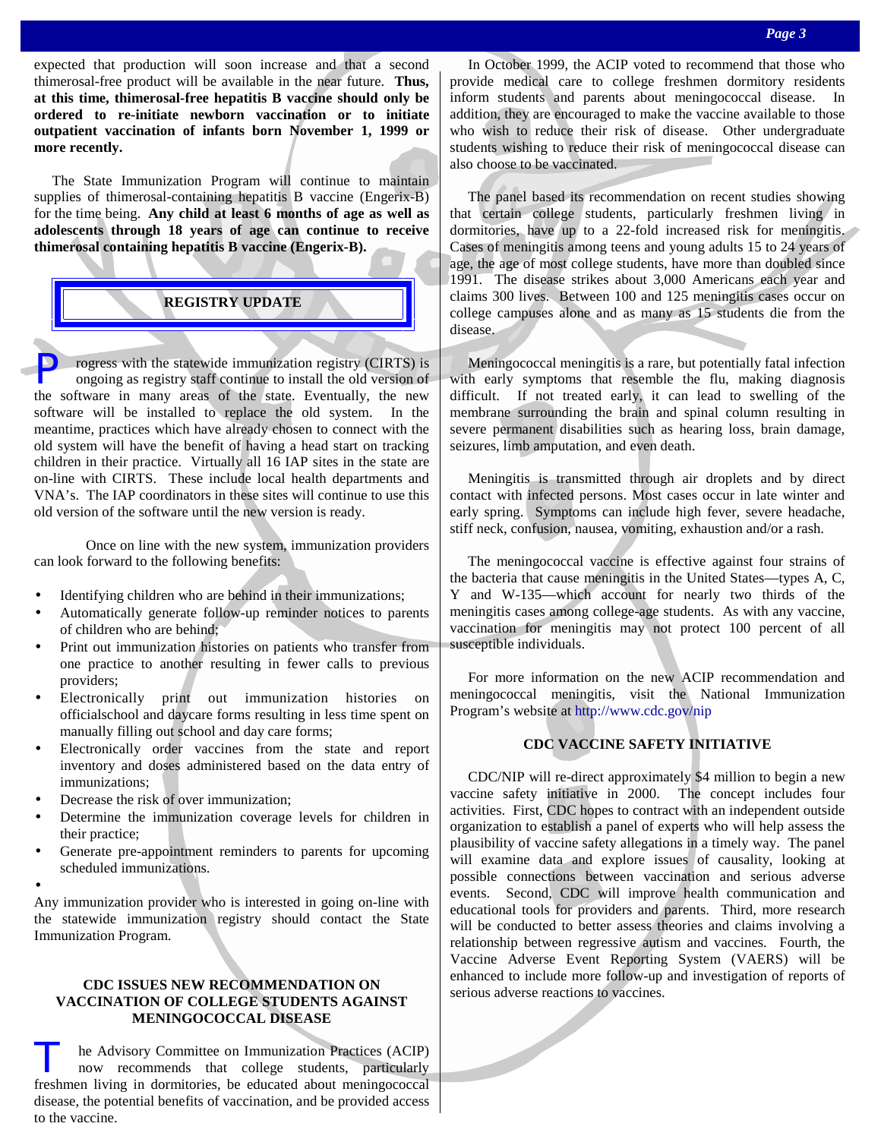expected that production will soon increase and that a second thimerosal-free product will be available in the near future. **Thus, at this time, thimerosal-free hepatitis B vaccine should only be ordered to re-initiate newborn vaccination or to initiate outpatient vaccination of infants born November 1, 1999 or more recently.** 

 The State Immunization Program will continue to maintain supplies of thimerosal-containing hepatitis B vaccine (Engerix-B) for the time being. **Any child at least 6 months of age as well as adolescents through 18 years of age can continue to receive thimerosal containing hepatitis B vaccine (Engerix-B).** 

# **REGISTRY UPDATE**

rogress with the statewide immunization registry (CIRTS) is ongoing as registry staff continue to install the old version of the software in many areas of the state. Eventually, the new software will be installed to replace the old system. In the meantime, practices which have already chosen to connect with the old system will have the benefit of having a head start on tracking children in their practice. Virtually all 16 IAP sites in the state are on-line with CIRTS. These include local health departments and VNA's. The IAP coordinators in these sites will continue to use this old version of the software until the new version is ready.

 Once on line with the new system, immunization providers can look forward to the following benefits:

- Identifying children who are behind in their immunizations;
- Automatically generate follow-up reminder notices to parents of children who are behind;
- Print out immunization histories on patients who transfer from one practice to another resulting in fewer calls to previous providers;
- Electronically print out immunization histories on officialschool and daycare forms resulting in less time spent on manually filling out school and day care forms;
- Electronically order vaccines from the state and report inventory and doses administered based on the data entry of immunizations;
- Decrease the risk of over immunization;
- Determine the immunization coverage levels for children in their practice;
- Generate pre-appointment reminders to parents for upcoming scheduled immunizations.
- •

Any immunization provider who is interested in going on-line with the statewide immunization registry should contact the State Immunization Program.

# **CDC ISSUES NEW RECOMMENDATION ON VACCINATION OF COLLEGE STUDENTS AGAINST MENINGOCOCCAL DISEASE**

T he Advisory Committee on Immunization Practices (ACIP) now recommends that college students, particularly freshmen living in dormitories, be educated about meningococcal disease, the potential benefits of vaccination, and be provided access to the vaccine.

 In October 1999, the ACIP voted to recommend that those who provide medical care to college freshmen dormitory residents inform students and parents about meningococcal disease. In addition, they are encouraged to make the vaccine available to those who wish to reduce their risk of disease. Other undergraduate students wishing to reduce their risk of meningococcal disease can also choose to be vaccinated.

 The panel based its recommendation on recent studies showing that certain college students, particularly freshmen living in dormitories, have up to a 22-fold increased risk for meningitis. Cases of meningitis among teens and young adults 15 to 24 years of age, the age of most college students, have more than doubled since 1991. The disease strikes about 3,000 Americans each year and claims 300 lives. Between 100 and 125 meningitis cases occur on college campuses alone and as many as 15 students die from the disease.

 Meningococcal meningitis is a rare, but potentially fatal infection with early symptoms that resemble the flu, making diagnosis difficult. If not treated early, it can lead to swelling of the membrane surrounding the brain and spinal column resulting in severe permanent disabilities such as hearing loss, brain damage, seizures, limb amputation, and even death.

 Meningitis is transmitted through air droplets and by direct contact with infected persons. Most cases occur in late winter and early spring. Symptoms can include high fever, severe headache, stiff neck, confusion, nausea, vomiting, exhaustion and/or a rash.

 The meningococcal vaccine is effective against four strains of the bacteria that cause meningitis in the United States—types A, C, Y and W-135—which account for nearly two thirds of the meningitis cases among college-age students. As with any vaccine, vaccination for meningitis may not protect 100 percent of all susceptible individuals.

 For more information on the new ACIP recommendation and meningococcal meningitis, visit the National Immunization Program's website at http://www.cdc.gov/nip

## **CDC VACCINE SAFETY INITIATIVE**

 CDC/NIP will re-direct approximately \$4 million to begin a new vaccine safety initiative in 2000. The concept includes four activities. First, CDC hopes to contract with an independent outside organization to establish a panel of experts who will help assess the plausibility of vaccine safety allegations in a timely way. The panel will examine data and explore issues of causality, looking at possible connections between vaccination and serious adverse events. Second, CDC will improve health communication and educational tools for providers and parents. Third, more research will be conducted to better assess theories and claims involving a relationship between regressive autism and vaccines. Fourth, the Vaccine Adverse Event Reporting System (VAERS) will be enhanced to include more follow-up and investigation of reports of serious adverse reactions to vaccines.